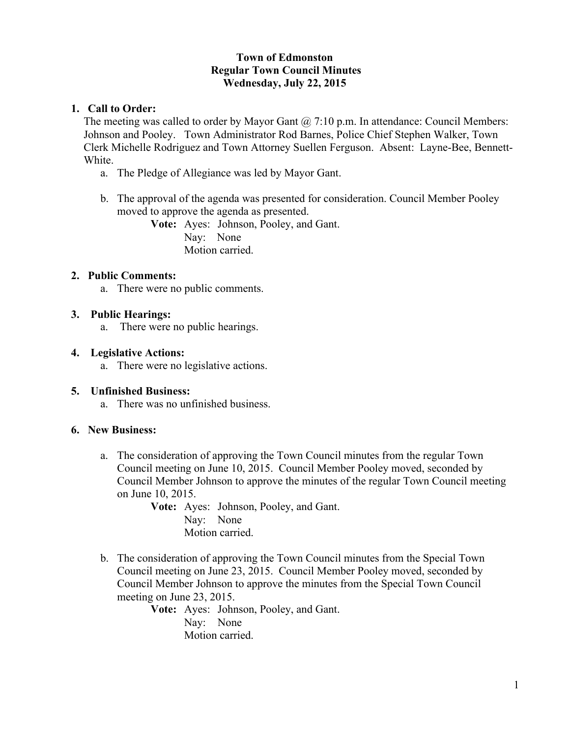## **Town of Edmonston Regular Town Council Minutes Wednesday, July 22, 2015**

## **1. Call to Order:**

The meeting was called to order by Mayor Gant  $(a)$ , 7:10 p.m. In attendance: Council Members: Johnson and Pooley. Town Administrator Rod Barnes, Police Chief Stephen Walker, Town Clerk Michelle Rodriguez and Town Attorney Suellen Ferguson. Absent: Layne-Bee, Bennett-White.

- a. The Pledge of Allegiance was led by Mayor Gant.
- b. The approval of the agenda was presented for consideration. Council Member Pooley moved to approve the agenda as presented.

**Vote:** Ayes: Johnson, Pooley, and Gant. Nay: None Motion carried.

## **2. Public Comments:**

a. There were no public comments.

### **3. Public Hearings:**

a. There were no public hearings.

#### **4. Legislative Actions:**

a. There were no legislative actions.

## **5. Unfinished Business:**

a. There was no unfinished business.

## **6. New Business:**

a. The consideration of approving the Town Council minutes from the regular Town Council meeting on June 10, 2015. Council Member Pooley moved, seconded by Council Member Johnson to approve the minutes of the regular Town Council meeting on June 10, 2015.

**Vote:** Ayes: Johnson, Pooley, and Gant. Nay: None Motion carried.

b. The consideration of approving the Town Council minutes from the Special Town Council meeting on June 23, 2015. Council Member Pooley moved, seconded by Council Member Johnson to approve the minutes from the Special Town Council meeting on June 23, 2015.

**Vote:** Ayes: Johnson, Pooley, and Gant. Nay: None Motion carried.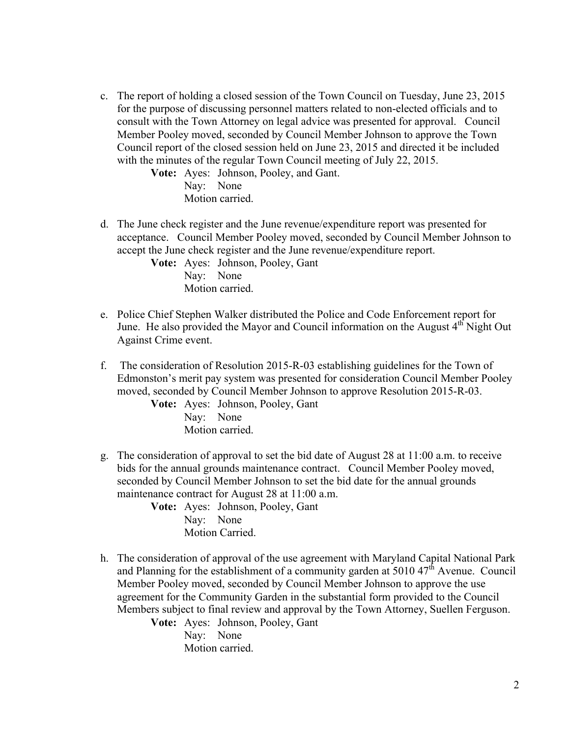c. The report of holding a closed session of the Town Council on Tuesday, June 23, 2015 for the purpose of discussing personnel matters related to non-elected officials and to consult with the Town Attorney on legal advice was presented for approval. Council Member Pooley moved, seconded by Council Member Johnson to approve the Town Council report of the closed session held on June 23, 2015 and directed it be included with the minutes of the regular Town Council meeting of July 22, 2015.

> **Vote:** Ayes: Johnson, Pooley, and Gant. Nay: None Motion carried.

d. The June check register and the June revenue/expenditure report was presented for acceptance. Council Member Pooley moved, seconded by Council Member Johnson to accept the June check register and the June revenue/expenditure report.

**Vote:** Ayes: Johnson, Pooley, Gant Nay: None Motion carried.

- e. Police Chief Stephen Walker distributed the Police and Code Enforcement report for June. He also provided the Mayor and Council information on the August 4<sup>th</sup> Night Out Against Crime event.
- f. The consideration of Resolution 2015-R-03 establishing guidelines for the Town of Edmonston's merit pay system was presented for consideration Council Member Pooley moved, seconded by Council Member Johnson to approve Resolution 2015-R-03.

**Vote:** Ayes: Johnson, Pooley, Gant Nay: None Motion carried.

g. The consideration of approval to set the bid date of August 28 at 11:00 a.m. to receive bids for the annual grounds maintenance contract. Council Member Pooley moved, seconded by Council Member Johnson to set the bid date for the annual grounds maintenance contract for August 28 at 11:00 a.m.

**Vote:** Ayes: Johnson, Pooley, Gant Nay: None Motion Carried.

h. The consideration of approval of the use agreement with Maryland Capital National Park and Planning for the establishment of a community garden at  $5010\,47<sup>th</sup>$  Avenue. Council Member Pooley moved, seconded by Council Member Johnson to approve the use agreement for the Community Garden in the substantial form provided to the Council Members subject to final review and approval by the Town Attorney, Suellen Ferguson.

**Vote:** Ayes: Johnson, Pooley, Gant

Nay: None Motion carried.